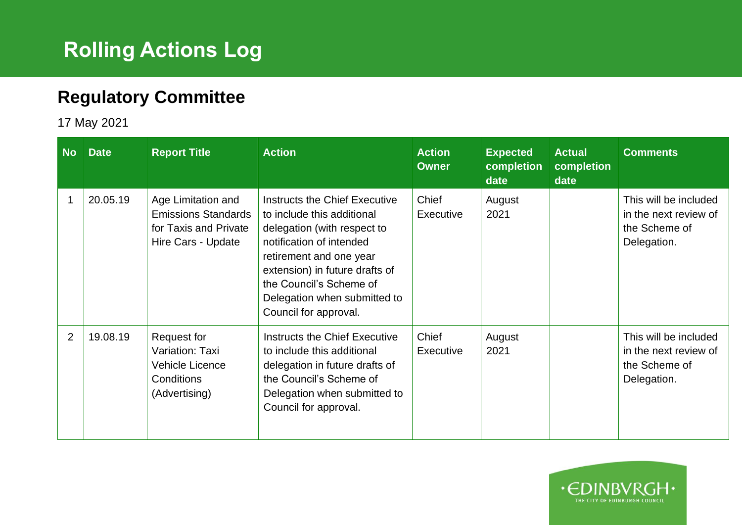## **Rolling Actions Log**

## **Regulatory Committee**

17 May 2021

| <b>No</b>      | <b>Date</b> | <b>Report Title</b>                                                                             | <b>Action</b>                                                                                                                                                                                                                                                           | <b>Action</b><br><b>Owner</b> | <b>Expected</b><br>completion<br>date | <b>Actual</b><br>completion<br>date | <b>Comments</b>                                                                |
|----------------|-------------|-------------------------------------------------------------------------------------------------|-------------------------------------------------------------------------------------------------------------------------------------------------------------------------------------------------------------------------------------------------------------------------|-------------------------------|---------------------------------------|-------------------------------------|--------------------------------------------------------------------------------|
|                | 20.05.19    | Age Limitation and<br><b>Emissions Standards</b><br>for Taxis and Private<br>Hire Cars - Update | Instructs the Chief Executive<br>to include this additional<br>delegation (with respect to<br>notification of intended<br>retirement and one year<br>extension) in future drafts of<br>the Council's Scheme of<br>Delegation when submitted to<br>Council for approval. | Chief<br>Executive            | August<br>2021                        |                                     | This will be included<br>in the next review of<br>the Scheme of<br>Delegation. |
| $\overline{2}$ | 19.08.19    | Request for<br>Variation: Taxi<br>Vehicle Licence<br>Conditions<br>(Advertising)                | Instructs the Chief Executive<br>to include this additional<br>delegation in future drafts of<br>the Council's Scheme of<br>Delegation when submitted to<br>Council for approval.                                                                                       | Chief<br>Executive            | August<br>2021                        |                                     | This will be included<br>in the next review of<br>the Scheme of<br>Delegation. |

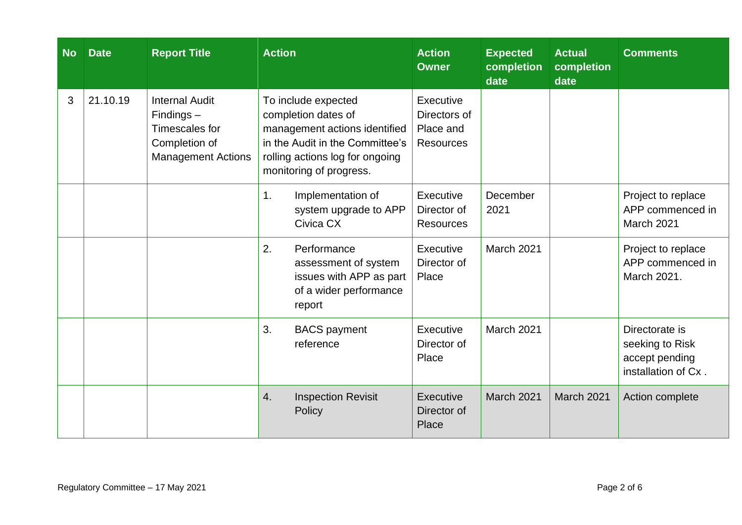| <b>No</b> | <b>Date</b> | <b>Report Title</b>                                                                                   | <b>Action</b>                                                                                                                                                                | <b>Action</b><br><b>Owner</b>                              | <b>Expected</b><br>completion<br>date | <b>Actual</b><br><b>completion</b><br>date | <b>Comments</b>                                                            |
|-----------|-------------|-------------------------------------------------------------------------------------------------------|------------------------------------------------------------------------------------------------------------------------------------------------------------------------------|------------------------------------------------------------|---------------------------------------|--------------------------------------------|----------------------------------------------------------------------------|
| 3         | 21.10.19    | <b>Internal Audit</b><br>$Findings -$<br>Timescales for<br>Completion of<br><b>Management Actions</b> | To include expected<br>completion dates of<br>management actions identified<br>in the Audit in the Committee's<br>rolling actions log for ongoing<br>monitoring of progress. | Executive<br>Directors of<br>Place and<br><b>Resources</b> |                                       |                                            |                                                                            |
|           |             |                                                                                                       | 1.<br>Implementation of<br>system upgrade to APP<br>Civica CX                                                                                                                | Executive<br>Director of<br><b>Resources</b>               | December<br>2021                      |                                            | Project to replace<br>APP commenced in<br>March 2021                       |
|           |             |                                                                                                       | 2.<br>Performance<br>assessment of system<br>issues with APP as part<br>of a wider performance<br>report                                                                     | Executive<br>Director of<br>Place                          | March 2021                            |                                            | Project to replace<br>APP commenced in<br>March 2021.                      |
|           |             |                                                                                                       | 3.<br><b>BACS</b> payment<br>reference                                                                                                                                       | Executive<br>Director of<br>Place                          | March 2021                            |                                            | Directorate is<br>seeking to Risk<br>accept pending<br>installation of Cx. |
|           |             |                                                                                                       | 4.<br><b>Inspection Revisit</b><br>Policy                                                                                                                                    | Executive<br>Director of<br>Place                          | March 2021                            | <b>March 2021</b>                          | Action complete                                                            |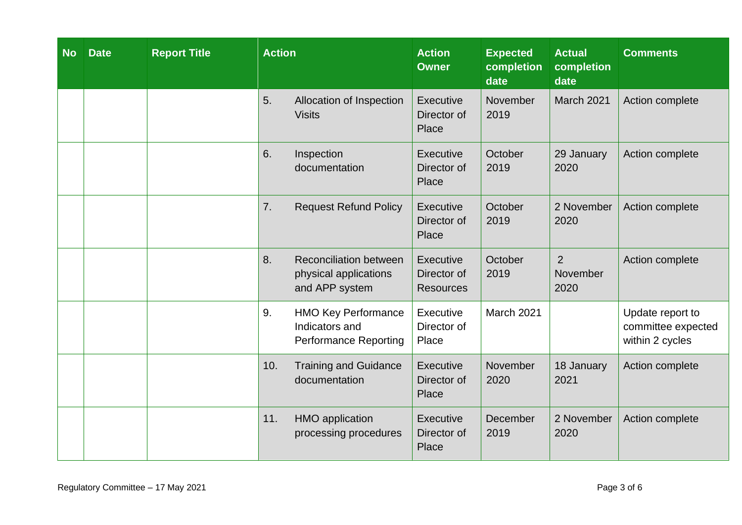| <b>No</b> | <b>Date</b> | <b>Report Title</b> | <b>Action</b>                                                                      | <b>Action</b><br><b>Owner</b>                       | <b>Expected</b><br>completion<br>date | <b>Actual</b><br>completion<br>date | <b>Comments</b>                                           |
|-----------|-------------|---------------------|------------------------------------------------------------------------------------|-----------------------------------------------------|---------------------------------------|-------------------------------------|-----------------------------------------------------------|
|           |             |                     | 5.<br>Allocation of Inspection<br><b>Visits</b>                                    | Executive<br>Director of<br>Place                   | November<br>2019                      | March 2021                          | Action complete                                           |
|           |             |                     | 6.<br>Inspection<br>documentation                                                  | <b>Executive</b><br>Director of<br>Place            | October<br>2019                       | 29 January<br>2020                  | Action complete                                           |
|           |             |                     | 7.<br><b>Request Refund Policy</b>                                                 | Executive<br>Director of<br>Place                   | October<br>2019                       | 2 November<br>2020                  | Action complete                                           |
|           |             |                     | 8.<br><b>Reconciliation between</b><br>physical applications<br>and APP system     | <b>Executive</b><br>Director of<br><b>Resources</b> | October<br>2019                       | $\overline{2}$<br>November<br>2020  | Action complete                                           |
|           |             |                     | 9.<br><b>HMO Key Performance</b><br>Indicators and<br><b>Performance Reporting</b> | Executive<br>Director of<br>Place                   | March 2021                            |                                     | Update report to<br>committee expected<br>within 2 cycles |
|           |             |                     | <b>Training and Guidance</b><br>10.<br>documentation                               | Executive<br>Director of<br>Place                   | November<br>2020                      | 18 January<br>2021                  | Action complete                                           |
|           |             |                     | 11.<br><b>HMO</b> application<br>processing procedures                             | <b>Executive</b><br>Director of<br>Place            | <b>December</b><br>2019               | 2 November<br>2020                  | Action complete                                           |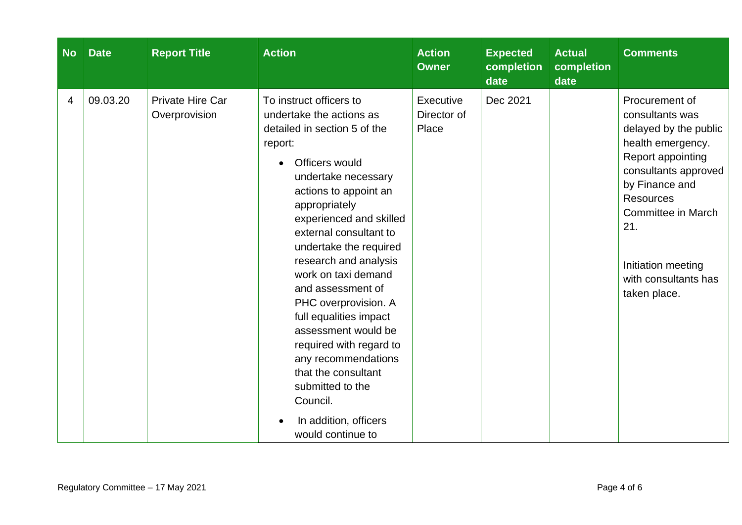| <b>No</b> | <b>Date</b> | <b>Report Title</b>                      | <b>Action</b>                                                                                                                                                                                                                                                                                                                                                                                                                                                                                                                                                                      | <b>Action</b><br><b>Owner</b>     | <b>Expected</b><br>completion<br>date | <b>Actual</b><br>completion<br>date | <b>Comments</b>                                                                                                                                                                                                                                               |
|-----------|-------------|------------------------------------------|------------------------------------------------------------------------------------------------------------------------------------------------------------------------------------------------------------------------------------------------------------------------------------------------------------------------------------------------------------------------------------------------------------------------------------------------------------------------------------------------------------------------------------------------------------------------------------|-----------------------------------|---------------------------------------|-------------------------------------|---------------------------------------------------------------------------------------------------------------------------------------------------------------------------------------------------------------------------------------------------------------|
| 4         | 09.03.20    | <b>Private Hire Car</b><br>Overprovision | To instruct officers to<br>undertake the actions as<br>detailed in section 5 of the<br>report:<br>Officers would<br>$\bullet$<br>undertake necessary<br>actions to appoint an<br>appropriately<br>experienced and skilled<br>external consultant to<br>undertake the required<br>research and analysis<br>work on taxi demand<br>and assessment of<br>PHC overprovision. A<br>full equalities impact<br>assessment would be<br>required with regard to<br>any recommendations<br>that the consultant<br>submitted to the<br>Council.<br>In addition, officers<br>would continue to | Executive<br>Director of<br>Place | Dec 2021                              |                                     | Procurement of<br>consultants was<br>delayed by the public<br>health emergency.<br>Report appointing<br>consultants approved<br>by Finance and<br><b>Resources</b><br>Committee in March<br>21.<br>Initiation meeting<br>with consultants has<br>taken place. |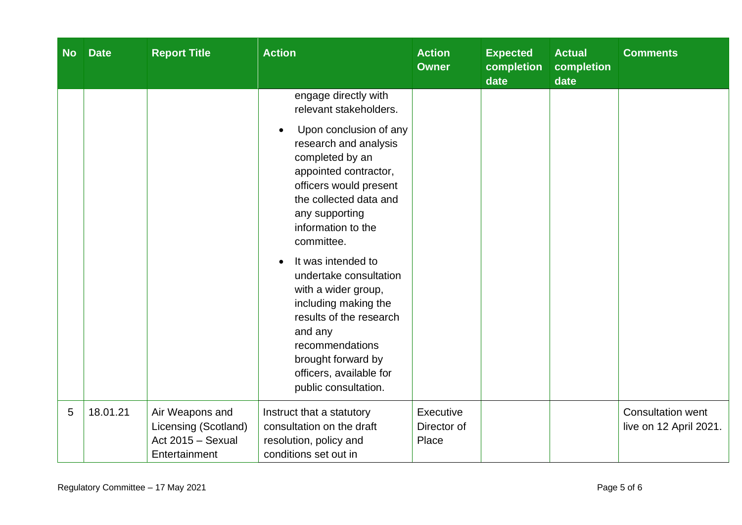| <b>No</b> | <b>Date</b> | <b>Report Title</b>                                                           | <b>Action</b>                                                                                                                                                                                                                                                                                                                                                                                                                                       | <b>Action</b><br><b>Owner</b>     | <b>Expected</b><br>completion<br>date | <b>Actual</b><br>completion<br>date | <b>Comments</b>                                    |
|-----------|-------------|-------------------------------------------------------------------------------|-----------------------------------------------------------------------------------------------------------------------------------------------------------------------------------------------------------------------------------------------------------------------------------------------------------------------------------------------------------------------------------------------------------------------------------------------------|-----------------------------------|---------------------------------------|-------------------------------------|----------------------------------------------------|
|           |             |                                                                               | engage directly with<br>relevant stakeholders.                                                                                                                                                                                                                                                                                                                                                                                                      |                                   |                                       |                                     |                                                    |
|           |             |                                                                               | Upon conclusion of any<br>$\bullet$<br>research and analysis<br>completed by an<br>appointed contractor,<br>officers would present<br>the collected data and<br>any supporting<br>information to the<br>committee.<br>It was intended to<br>undertake consultation<br>with a wider group,<br>including making the<br>results of the research<br>and any<br>recommendations<br>brought forward by<br>officers, available for<br>public consultation. |                                   |                                       |                                     |                                                    |
| 5         | 18.01.21    | Air Weapons and<br>Licensing (Scotland)<br>Act 2015 - Sexual<br>Entertainment | Instruct that a statutory<br>consultation on the draft<br>resolution, policy and<br>conditions set out in                                                                                                                                                                                                                                                                                                                                           | Executive<br>Director of<br>Place |                                       |                                     | <b>Consultation went</b><br>live on 12 April 2021. |